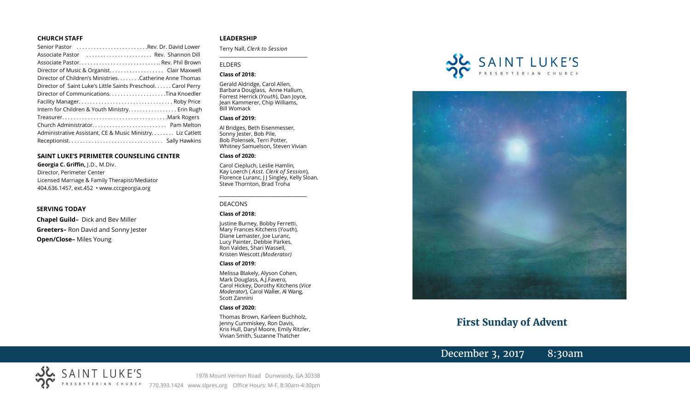#### **CHURCH STAFF**

| Senior Pastor Rev. Dr. David Lower                           |  |
|--------------------------------------------------------------|--|
| Associate Pastor  Rev. Shannon Dill                          |  |
|                                                              |  |
| Director of Music & Organist. Clair Maxwell                  |  |
| Director of Children's Ministries. Catherine Anne Thomas     |  |
| Director of Saint Luke's Little Saints Preschool Carol Perry |  |
|                                                              |  |
|                                                              |  |
| Intern for Children & Youth Ministry Erin Rugh               |  |
|                                                              |  |
|                                                              |  |
| Administrative Assistant, CE & Music Ministry Liz Catlett    |  |
|                                                              |  |

#### **SAINT LUKE'S PERIMETER COUNSELING CENTER**

**Georgia C. Griffin,** J.D., M.Div. Director, Perimeter Center Licensed Marriage & Family Therapist/Mediator 404.636.1457, ext.452 • www.cccgeorgia.org

#### **SERVING TODAY**

**Chapel Guild–** Dick and Bev Miller **Greeters–** Ron David and Sonny Jester **Open/Close–** Miles Young

#### **LEADERSHIP**

Terry Nall, *Clerk to Session* 

**\_\_\_\_\_\_\_\_\_\_\_\_\_\_\_\_\_\_\_\_\_\_\_\_\_\_\_\_\_\_\_\_\_\_\_\_\_\_\_**

#### ELDERS

#### **Class of 2018:**

Gerald Aldridge, Carol Allen, Barbara Douglass, Anne Hallum, Forrest Herrick (*Youth*), Dan Joyce, Jean Kammerer, Chip Williams, Bill Womack

#### **Class of 2019:**

Al Bridges, Beth Eisenmesser, Sonny Jester, Bob Pile, Bob Polensek, Terri Potter, Whitney Samuelson, Steven Vivian

#### **Class of 2020:**

Carol Ciepluch, Leslie Hamlin, Kay Loerch ( *Asst. Clerk of Session*), Florence Luranc, J J Singley, Kelly Sloan, Steve Thornton, Brad Troha

*\_\_\_\_\_\_\_\_\_\_\_\_\_\_\_\_\_\_\_\_\_\_\_\_\_\_\_\_\_\_\_\_\_\_\_\_\_*

#### DEACONS

#### **Class of 2018:**

Justine Burney, Bobby Ferretti, Mary Frances Kitchens (*Youth*), Diane Lemaster, Joe Luranc, Lucy Painter, Debbie Parkes, Ron Valdes, Shari Wassell, Kristen Wescott *(Moderator)*

#### **Class of 2019:**

Melissa Blakely, Alyson Cohen, Mark Douglass, A.J.Favero, Carol Hickey, Dorothy Kitchens (*Vice Moderator*), Carol Waller, Al Wang, Scott Zannini

### **Class of 2020:**

Thomas Brown, Karleen Buchholz, Jenny Cummiskey, Ron Davis, Kris Hull, Daryl Moore, Emily Ritzler, Vivian Smith, Suzanne Thatcher





# **First Sunday of Advent**

# December 3, 2017 8:30am

SAINT LUKE'S 1978 Mount Vernon Road Dunwoody, GA 30338 770.393.1424 www.slpres.org Office Hours: M-F, 8:30am-4:30pm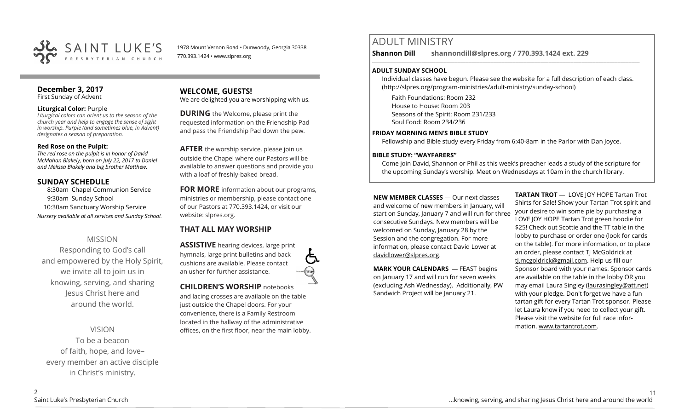

1978 Mount Vernon Road • Dunwoody, Georgia 30338 770.393.1424 • www.slpres.org

#### **December 3, 2017**  First Sunday of Advent

### **Liturgical Color:** Purple

*Liturgical colors can orient us to the season of the church year and help to engage the sense of sight in worship. Purple (and sometimes blue, in Advent) designates a season of preparation.*

### **Red Rose on the Pulpit:**

*The red rose on the pulpit is in honor of David McMahan Blakely, born on July 22, 2017 to Daniel and Melissa Blakely and big brother Matthew.*

# **SUNDAY SCHEDULE**

8:30am Chapel Communion Service 9:30am Sunday School 10:30am Sanctuary Worship Service *Nursery available at all services and Sunday School.*

# MISSION

Responding to God's call and empowered by the Holy Spirit, we invite all to join us in knowing, serving, and sharing Jesus Christ here and around the world.

VISION To be a beacon of faith, hope, and love– every member an active disciple in Christ's ministry.

# **WELCOME, GUESTS!**

We are delighted you are worshipping with us.

**DURING** the Welcome, please print the requested information on the Friendship Pad and pass the Friendship Pad down the pew.

**AFTER** the worship service, please join us outside the Chapel where our Pastors will be available to answer questions and provide you with a loaf of freshly-baked bread.

**FOR MORE** information about our programs, ministries or membership, please contact one of our Pastors at 770.393.1424, or visit our website: slpres.org.

# **THAT ALL MAY WORSHIP**

**ASSISTIVE** hearing devices, large print hymnals, large print bulletins and back cushions are available. Please contact an usher for further assistance.

**CHILDREN'S WORSHIP** notebooks and lacing crosses are available on the table just outside the Chapel doors. For your convenience, there is a Family Restroom located in the hallway of the administrative offices, on the first floor, near the main lobby.

# ADULT MINISTRY

**Shannon Dill shannondill@slpres.org / 770.393.1424 ext. 229**   $\_$  ,  $\_$  ,  $\_$  ,  $\_$  ,  $\_$  ,  $\_$  ,  $\_$  ,  $\_$  ,  $\_$  ,  $\_$  ,  $\_$  ,  $\_$  ,  $\_$  ,  $\_$  ,  $\_$  ,  $\_$  ,  $\_$  ,  $\_$  ,  $\_$  ,  $\_$ 

### **ADULT SUNDAY SCHOOL**

Individual classes have begun. Please see the website for a full description of each class. (http://slpres.org/program-ministries/adult-ministry/sunday-school)

Faith Foundations: Room 232 House to House: Room 203 Seasons of the Spirit: Room 231/233 Soul Food: Room 234/236

### **FRIDAY MORNING MEN'S BIBLE STUDY**

Fellowship and Bible study every Friday from 6:40-8am in the Parlor with Dan Joyce.

# **BIBLE STUDY: "WAYFARERS"**

Come join David, Shannon or Phil as this week's preacher leads a study of the scripture for the upcoming Sunday's worship. Meet on Wednesdays at 10am in the church library.

**NEW MEMBER CLASSES** — Our next classes and welcome of new members in January, will start on Sunday, January 7 and will run for three consecutive Sundays. New members will be welcomed on Sunday, January 28 by the Session and the congregation. For more information, please contact David Lower at davidlower@slpres.org.

**MARK YOUR CALENDARS** — FEAST begins on January 17 and will run for seven weeks (excluding Ash Wednesday). Additionally, PW Sandwich Project will be January 21.

**TARTAN TROT** — LOVE JOY HOPE Tartan Trot Shirts for Sale! Show your Tartan Trot spirit and your desire to win some pie by purchasing a LOVE JOY HOPE Tartan Trot green hoodie for \$25! Check out Scottie and the TT table in the lobby to purchase or order one (look for cards on the table). For more information, or to place an order, please contact TJ McGoldrick at [tj.mcgoldrick@gmail.com.](mailto:tj.mcgoldrick@gmail.com) Help us fill our Sponsor board with your names. Sponsor cards are available on the table in the lobby OR you may email Laura Singley ([laurasingley@att.net\)](mailto:laurasingley@att.net) with your pledge. Don't forget we have a fun tartan gift for every Tartan Trot sponsor. Please let Laura know if you need to collect your gift. Please visit the website for full race information. [www.tartantrot.com.](http://www.tartantrot.com/)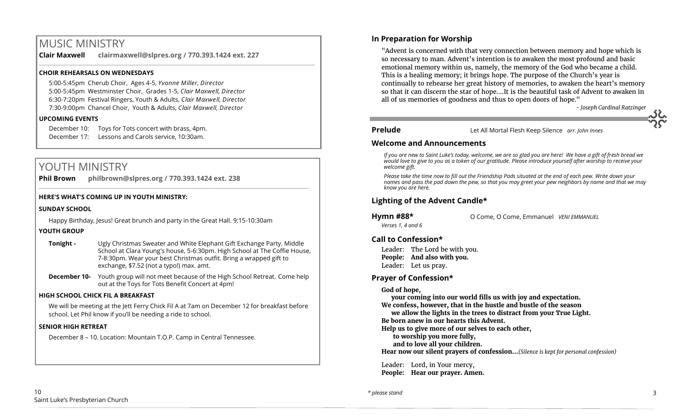# MUSIC MINISTRY

**Clair Maxwell clairmaxwell@slpres.org / 770.393.1424 ext. 227**  \_\_\_\_\_\_\_\_\_\_\_\_\_\_\_\_\_\_\_\_\_\_\_\_\_\_\_\_\_\_\_\_\_\_\_\_\_\_\_\_\_\_\_\_\_\_\_\_\_\_\_\_\_\_\_\_\_\_\_\_\_\_\_\_\_\_\_\_\_\_\_\_\_\_\_\_\_\_\_\_\_\_\_\_\_\_\_\_\_\_\_\_\_\_\_\_\_\_\_\_

# **CHOIR REHEARSALS ON WEDNESDAYS**

5:00-5:45pm Cherub Choir, Ages 4-5, *Yvonne Miller, Director*  5:00-5:45pm Westminster Choir, Grades 1-5, *Clair Maxwell, Director*  6:30-7:20pm Festival Ringers, Youth & Adults, *Clair Maxwell, Director*  7:30-9:00pm Chancel Choir, Youth & Adults, *Clair Maxwell, Director*

## **UPCOMING EVENTS**

December 10: Toys for Tots concert with brass, 4pm. December 17: Lessons and Carols service, 10:30am.

# YOUTH MINISTRY

**Phil Brown philbrown@slpres.org / 770.393.1424 ext. 238**   $\_$  ,  $\_$  ,  $\_$  ,  $\_$  ,  $\_$  ,  $\_$  ,  $\_$  ,  $\_$  ,  $\_$  ,  $\_$  ,  $\_$  ,  $\_$  ,  $\_$  ,  $\_$  ,  $\_$  ,  $\_$  ,  $\_$  ,  $\_$  ,  $\_$  ,  $\_$ 

# **HERE'S WHAT'S COMING UP IN YOUTH MINISTRY:**

# **SUNDAY SCHOOL**

Happy Birthday, Jesus! Great brunch and party in the Great Hall. 9:15-10:30am

# **YOUTH GROUP**

- **Tonight -** Ugly Christmas Sweater and White Elephant Gift Exchange Party. Middle School at Clara Young's house, 5-6:30pm. High School at The Coffie House, 7-8:30pm. Wear your best Christmas outfit. Bring a wrapped gift to exchange, \$7.52 (not a typo!) max. amt.
- **December 10-** Youth group will not meet because of the High School Retreat. Come help out at the Toys for Tots Benefit Concert at 4pm!

## **HIGH SCHOOL CHICK FIL A BREAKFAST**

We will be meeting at the Jett Ferry Chick Fil A at 7am on December 12 for breakfast before school. Let Phil know if you'll be needing a ride to school.

# **SENIOR HIGH RETREAT**

December 8 – 10. Location: Mountain T.O.P. Camp in Central Tennessee.

# **In Preparation for Worship**

"Advent is concerned with that very connection between memory and hope which is so necessary to man. Advent's intention is to awaken the most profound and basic emotional memory within us, namely, the memory of the God who became a child. This is a healing memory; it brings hope. The purpose of the Church's year is continually to rehearse her great history of memories, to awaken the heart's memory so that it can discern the star of hope.…It is the beautiful task of Advent to awaken in all of us memories of goodness and thus to open doors of hope."

*- Joseph Cardinal Ratzinger*

**Prelude** Let All Mortal Flesh Keep Silence *arr. John Innes*

# **Welcome and Announcements**

*If you are new to Saint Luke's today, welcome, we are so glad you are here! We have a gift of fresh bread we would love to give to you as a token of our gratitude. Please introduce yourself after worship to receive your welcome gift.*

*Please take the time now to fill out the Friendship Pads situated at the end of each pew. Write down your names and pass the pad down the pew, so that you may greet your pew neighbors by name and that we may know you are here.*

# **Lighting of the Advent Candle\***

**Hymn #88\*** O Come, O Come, Emmanuel *VENI EMMANUEL* 

# **Call to Confession\***

*Verses 1, 4 and 6* 

Leader: The Lord be with you. **People: And also with you.** Leader: Let us pray.

# **Prayer of Confession\***

## **God of hope,**

**your coming into our world fills us with joy and expectation.**

**We confess, however, that in the hustle and bustle of the season**

**we allow the lights in the trees to distract from your True Light. Be born anew in our hearts this Advent.**

**Help us to give more of our selves to each other,**

**to worship you more fully,**

**and to love all your children.**

**Hear now our silent prayers of confession…***(Silence is kept for personal confession)* 

 Leader: Lord, in Your mercy, **People: Hear our prayer. Amen.**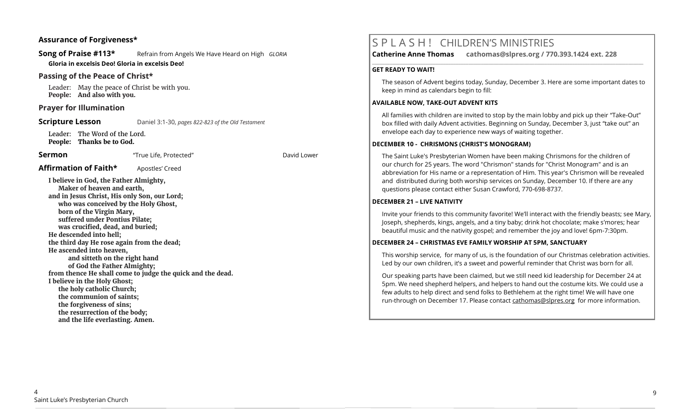## **Assurance of Forgiveness\***

**Song of Praise #113\*** Refrain from Angels We Have Heard on High *GLORIA* **Gloria in excelsis Deo! Gloria in excelsis Deo!**

# **Passing of the Peace of Christ\***

Leader: May the peace of Christ be with you. **People: And also with you.**

## **Prayer for Illumination**

**Scripture Lesson** Daniel 3:1-30, *pages 822-823 of the Old Testament* 

Leader: The Word of the Lord. **People: Thanks be to God.**

**Sermon** "True Life, Protected" David Lower

### **Affirmation of Faith\*** Apostles' Creed

**I believe in God, the Father Almighty, Maker of heaven and earth, and in Jesus Christ, His only Son, our Lord; who was conceived by the Holy Ghost, born of the Virgin Mary, suffered under Pontius Pilate; was crucified, dead, and buried; He descended into hell; the third day He rose again from the dead; He ascended into heaven, and sitteth on the right hand of God the Father Almighty; from thence He shall come to judge the quick and the dead. I believe in the Holy Ghost; the holy catholic Church; the communion of saints; the forgiveness of sins; the resurrection of the body; and the life everlasting. Amen.**

# S P L A S H ! CHILDREN'S MINISTRIES

**\_\_\_\_\_\_\_\_\_\_\_\_\_\_\_\_\_\_\_\_\_\_\_\_\_\_\_\_\_\_\_\_\_\_\_\_\_\_\_\_\_\_\_\_\_\_\_\_\_\_\_\_\_\_\_\_\_\_\_\_\_\_\_\_\_\_\_\_\_\_\_\_\_\_\_\_\_\_\_\_\_\_\_\_\_\_\_\_\_\_\_\_\_\_\_\_\_\_\_\_\_\_\_\_\_\_\_** 

**Catherine Anne Thomas cathomas@slpres.org / 770.393.1424 ext. 228** 

#### **GET READY TO WAIT!**

The season of Advent begins today, Sunday, December 3. Here are some important dates to keep in mind as calendars begin to fill:

#### **AVAILABLE NOW, TAKE-OUT ADVENT KITS**

All families with children are invited to stop by the main lobby and pick up their "Take-Out" box filled with daily Advent activities. Beginning on Sunday, December 3, just "take out" an envelope each day to experience new ways of waiting together.

#### **DECEMBER 10 - CHRISMONS (CHRIST'S MONOGRAM)**

The Saint Luke's Presbyterian Women have been making Chrismons for the children of our church for 25 years. The word "Chrismon" stands for "Christ Monogram" and is an abbreviation for His name or a representation of Him. This year's Chrismon will be revealed and distributed during both worship services on Sunday, December 10. If there are any questions please contact either Susan Crawford, 770-698-8737.

#### **DECEMBER 21 – LIVE NATIVITY**

Invite your friends to this community favorite! We'll interact with the friendly beasts; see Mary, Joseph, shepherds, kings, angels, and a tiny baby; drink hot chocolate; make s'mores; hear beautiful music and the nativity gospel; and remember the joy and love! 6pm-7:30pm.

#### **DECEMBER 24 – CHRISTMAS EVE FAMILY WORSHIP AT 5PM, SANCTUARY**

This worship service, for many of us, is the foundation of our Christmas celebration activities. Led by our own children, it's a sweet and powerful reminder that Christ was born for all.

Our speaking parts have been claimed, but we still need kid leadership for December 24 at 5pm. We need shepherd helpers, and helpers to hand out the costume kits. We could use a few adults to help direct and send folks to Bethlehem at the right time! We will have one run-through on December 17. Please contact [cathomas@slpres.org](mailto:cathomas@slpres.org) for more information.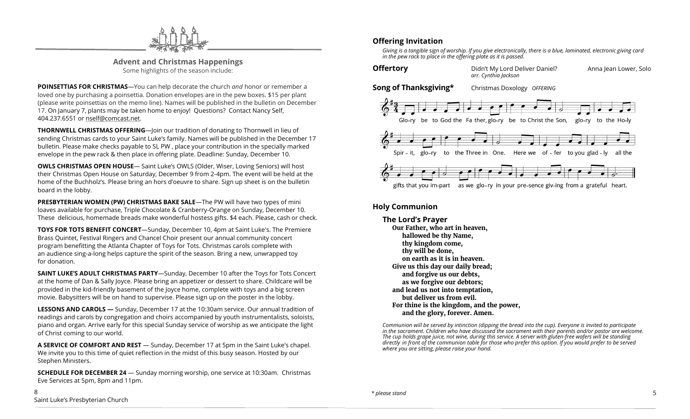

**Advent and Christmas Happenings** Some highlights of the season include:

**POINSETTIAS FOR CHRISTMAS**—You can help decorate the church *and* honor or remember a loved one by purchasing a poinsettia. Donation envelopes are in the pew boxes. \$15 per plant (please write poinsettias on the memo line). Names will be published in the bulletin on December 17. On January 7, plants may be taken home to enjoy! Questions? Contact Nancy Self, 404.237.6551 or nself@comcast.net.

**THORNWELL CHRISTMAS OFFERING**—Join our tradition of donating to Thornwell in lieu of sending Christmas cards to your Saint Luke's family. Names will be published in the December 17 bulletin. Please make checks payable to SL PW , place your contribution in the specially marked envelope in the pew rack & then place in offering plate. Deadline: Sunday, December 10.

**OWLS CHRISTMAS OPEN HOUSE**— Saint Luke's OWLS (Older, Wiser, Loving Seniors) will host their Christmas Open House on Saturday, December 9 from 2-4pm. The event will be held at the home of the Buchholz's. Please bring an hors d'oeuvre to share. Sign up sheet is on the bulletin board in the lobby.

**PRESBYTERIAN WOMEN (PW) CHRISTMAS BAKE SALE**—The PW will have two types of mini loaves available for purchase, Triple Chocolate & Cranberry-Orange on Sunday, December 10. These delicious, homemade breads make wonderful hostess gifts. \$4 each. Please, cash or check.

**TOYS FOR TOTS BENEFIT CONCERT**—Sunday, December 10, 4pm at Saint Luke's. The Premiere Brass Quintet, Festival Ringers and Chancel Choir present our annual community concert program benefitting the Atlanta Chapter of Toys for Tots. Christmas carols complete with an audience sing-a-long helps capture the spirit of the season. Bring a new, unwrapped toy for donation.

**SAINT LUKE'S ADULT CHRISTMAS PARTY**—Sunday, December 10 after the Toys for Tots Concert at the home of Dan & Sally Joyce. Please bring an appetizer or dessert to share. Childcare will be provided in the kid-friendly basement of the Joyce home, complete with toys and a big screen movie. Babysitters will be on hand to supervise. Please sign up on the poster in the lobby.

**LESSONS AND CAROLS —** Sunday, December 17 at the 10:30am service. Our annual tradition of readings and carols by congregation and choirs accompanied by youth instrumentalists, soloists, piano and organ. Arrive early for this special Sunday service of worship as we anticipate the light of Christ coming to our world.

**A SERVICE OF COMFORT AND REST** — Sunday, December 17 at 5pm in the Saint Luke's chapel. We invite you to this time of quiet reflection in the midst of this busy season. Hosted by our Stephen Ministers.

**SCHEDULE FOR DECEMBER 24** — Sunday morning worship, one service at 10:30am. Christmas Eve Services at 5pm, 8pm and 11pm.

*Giving is a tangible sign of worship. If you give electronically, there is a blue, laminated, electronic giving card in the pew rack to place in the offering plate as it is passed.*



gifts that you im-part as we glo-ry in your pre-sence giv-ing from a grateful heart.

# **Holy Communion**

**The Lord's Prayer Our Father, who art in heaven, hallowed be thy Name, thy kingdom come, thy will be done, on earth as it is in heaven. Give us this day our daily bread; and forgive us our debts, as we forgive our debtors; and lead us not into temptation, but deliver us from evil. For thine is the kingdom, and the power, and the glory, forever. Amen.**

*Communion will be served by intinction (dipping the bread into the cup). Everyone is invited to participate in the sacrament. Children who have discussed the sacrament with their parents and/or pastor are welcome. The cup holds grape juice, not wine, during this service. A server with gluten-free wafers will be standing directly in front of the communion table for those who prefer this option. If you would prefer to be served where you are sitting, please raise your hand.*